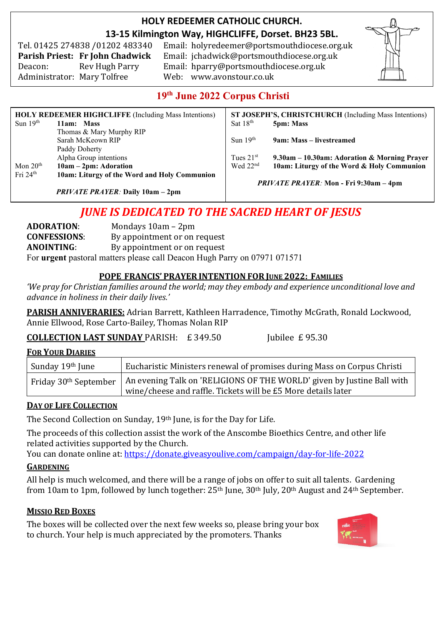### **HOLY REDEEMER CATHOLIC CHURCH. 13-15 Kilmington Way, HIGHCLIFFE, Dorset. BH23 5BL.**

Tel. 01425 274838 /01202 483340

Email: holyredeemer@portsmouthdiocese.org.uk **Parish Priest: Fr John Chadwick** Email: jchadwick@portsmouthdiocese.org.uk Deacon: Rev Hugh Parry Email: hparry@portsmouthdiocese.org.uk Administrator: Mary Tolfree Web: www.avonstour.co.uk



## **19 th June 2022 Corpus Christi**

| <b>HOLY REDEEMER HIGHCLIFFE</b> (Including Mass Intentions) |                                              | ST JOSEPH'S, CHRISTCHURCH (Including Mass Intentions) |                                              |
|-------------------------------------------------------------|----------------------------------------------|-------------------------------------------------------|----------------------------------------------|
| Sun $19th$                                                  | 11am: Mass                                   | Sat $18th$                                            | 5pm: Mass                                    |
|                                                             | Thomas & Mary Murphy RIP                     |                                                       |                                              |
|                                                             | Sarah McKeown RIP                            | Sun $19th$                                            | 9am: Mass – livestreamed                     |
|                                                             | Paddy Doherty                                |                                                       |                                              |
|                                                             | Alpha Group intentions                       | Tues $21st$                                           | 9.30am – 10.30am: Adoration & Morning Prayer |
| Mon $20th$                                                  | $10am - 2pm$ : Adoration                     | Wed $22nd$                                            | 10am: Liturgy of the Word & Holy Communion   |
| Fri $24th$                                                  | 10am: Liturgy of the Word and Holy Communion |                                                       |                                              |
|                                                             |                                              | <i>PRIVATE PRAYER:</i> Mon - Fri 9:30am – 4pm         |                                              |
|                                                             | <b>PRIVATE PRAYER: Daily 10am - 2pm</b>      |                                                       |                                              |

# *JUNE IS DEDICATED TO THE SACRED HEART OF JESUS*

**ADORATION**: Mondays 10am – 2pm **CONFESSIONS**: By appointment or on request **ANOINTING**: By appointment or on request For **urgent** pastoral matters please call Deacon Hugh Parry on 07971 071571

#### **POPE FRANCIS' PRAYER INTENTION FOR JUNE 2022: FAMILIES**

*'We pray for Christian families around the world; may they embody and experience unconditional love and advance in holiness in their daily lives.'*

**PARISH ANNIVERARIES:** Adrian Barrett, Kathleen Harradence, Timothy McGrath, Ronald Lockwood, Annie Ellwood, Rose Carto-Bailey, Thomas Nolan RIP

#### **COLLECTION LAST SUNDAY PARISH: £ 349.50 Jubilee £ 95.30**

#### **FOR YOUR DIARIES**

| Sunday 19th June                  | Eucharistic Ministers renewal of promises during Mass on Corpus Christi                                                                 |
|-----------------------------------|-----------------------------------------------------------------------------------------------------------------------------------------|
| Friday 30 <sup>th</sup> September | An evening Talk on 'RELIGIONS OF THE WORLD' given by Justine Ball with<br>wine/cheese and raffle. Tickets will be £5 More details later |

#### **DAY OF LIFE COLLECTION**

The Second Collection on Sunday, 19th June, is for the Day for Life.

The proceeds of this collection assist the work of the Anscombe Bioethics Centre, and other life related activities supported by the Church.

You can donate online at: <https://donate.giveasyoulive.com/campaign/day-for-life-2022>

#### **GARDENING**

All help is much welcomed, and there will be a range of jobs on offer to suit all talents. Gardening from 10am to 1pm, followed by lunch together: 25<sup>th</sup> June, 30<sup>th</sup> July, 20<sup>th</sup> August and 24<sup>th</sup> September.

#### **MISSIO RED BOXES**

The boxes will be collected over the next few weeks so, please bring your box to church. Your help is much appreciated by the promoters. Thanks